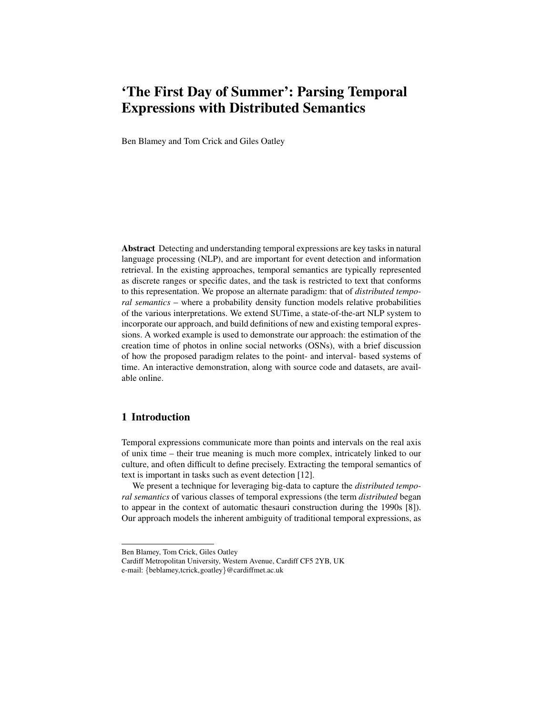Ben Blamey and Tom Crick and Giles Oatley

Abstract Detecting and understanding temporal expressions are key tasks in natural language processing (NLP), and are important for event detection and information retrieval. In the existing approaches, temporal semantics are typically represented as discrete ranges or specific dates, and the task is restricted to text that conforms to this representation. We propose an alternate paradigm: that of *distributed temporal semantics* – where a probability density function models relative probabilities of the various interpretations. We extend SUTime, a state-of-the-art NLP system to incorporate our approach, and build definitions of new and existing temporal expressions. A worked example is used to demonstrate our approach: the estimation of the creation time of photos in online social networks (OSNs), with a brief discussion of how the proposed paradigm relates to the point- and interval- based systems of time. An interactive demonstration, along with source code and datasets, are available online.

# 1 Introduction

Temporal expressions communicate more than points and intervals on the real axis of unix time – their true meaning is much more complex, intricately linked to our culture, and often difficult to define precisely. Extracting the temporal semantics of text is important in tasks such as event detection [12].

We present a technique for leveraging big-data to capture the *distributed temporal semantics* of various classes of temporal expressions (the term *distributed* began to appear in the context of automatic thesauri construction during the 1990s [8]). Our approach models the inherent ambiguity of traditional temporal expressions, as

Ben Blamey, Tom Crick, Giles Oatley

Cardiff Metropolitan University, Western Avenue, Cardiff CF5 2YB, UK

e-mail: {beblamey,tcrick,goatley}@cardiffmet.ac.uk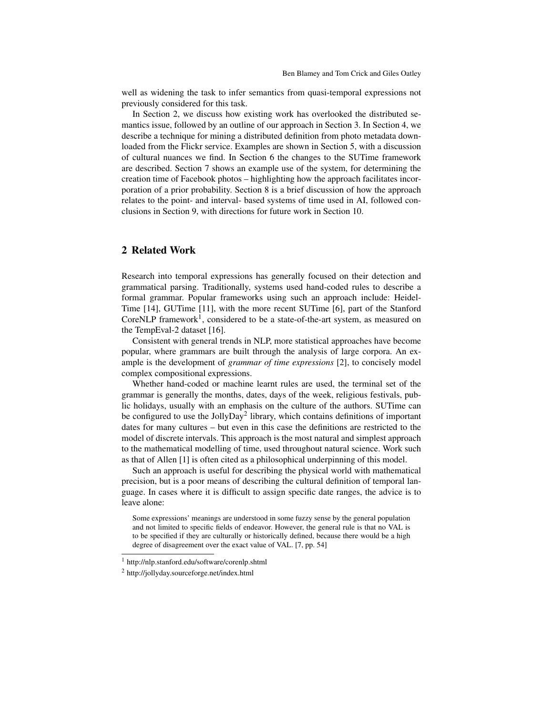well as widening the task to infer semantics from quasi-temporal expressions not previously considered for this task.

In Section 2, we discuss how existing work has overlooked the distributed semantics issue, followed by an outline of our approach in Section 3. In Section 4, we describe a technique for mining a distributed definition from photo metadata downloaded from the Flickr service. Examples are shown in Section 5, with a discussion of cultural nuances we find. In Section 6 the changes to the SUTime framework are described. Section 7 shows an example use of the system, for determining the creation time of Facebook photos – highlighting how the approach facilitates incorporation of a prior probability. Section 8 is a brief discussion of how the approach relates to the point- and interval- based systems of time used in AI, followed conclusions in Section 9, with directions for future work in Section 10.

# 2 Related Work

Research into temporal expressions has generally focused on their detection and grammatical parsing. Traditionally, systems used hand-coded rules to describe a formal grammar. Popular frameworks using such an approach include: Heidel-Time [14], GUTime [11], with the more recent SUTime [6], part of the Stanford CoreNLP framework<sup>1</sup>, considered to be a state-of-the-art system, as measured on the TempEval-2 dataset [16].

Consistent with general trends in NLP, more statistical approaches have become popular, where grammars are built through the analysis of large corpora. An example is the development of *grammar of time expressions* [2], to concisely model complex compositional expressions.

Whether hand-coded or machine learnt rules are used, the terminal set of the grammar is generally the months, dates, days of the week, religious festivals, public holidays, usually with an emphasis on the culture of the authors. SUTime can be configured to use the JollyDay<sup>2</sup> library, which contains definitions of important dates for many cultures – but even in this case the definitions are restricted to the model of discrete intervals. This approach is the most natural and simplest approach to the mathematical modelling of time, used throughout natural science. Work such as that of Allen [1] is often cited as a philosophical underpinning of this model.

Such an approach is useful for describing the physical world with mathematical precision, but is a poor means of describing the cultural definition of temporal language. In cases where it is difficult to assign specific date ranges, the advice is to leave alone:

Some expressions' meanings are understood in some fuzzy sense by the general population and not limited to specific fields of endeavor. However, the general rule is that no VAL is to be specified if they are culturally or historically defined, because there would be a high degree of disagreement over the exact value of VAL. [7, pp. 54]

<sup>1</sup> http://nlp.stanford.edu/software/corenlp.shtml

<sup>2</sup> http://jollyday.sourceforge.net/index.html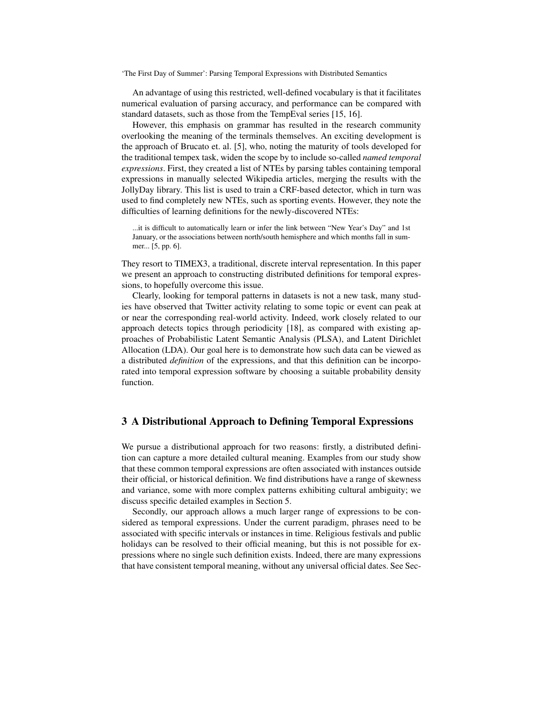An advantage of using this restricted, well-defined vocabulary is that it facilitates numerical evaluation of parsing accuracy, and performance can be compared with standard datasets, such as those from the TempEval series [15, 16].

However, this emphasis on grammar has resulted in the research community overlooking the meaning of the terminals themselves. An exciting development is the approach of Brucato et. al. [5], who, noting the maturity of tools developed for the traditional tempex task, widen the scope by to include so-called *named temporal expressions*. First, they created a list of NTEs by parsing tables containing temporal expressions in manually selected Wikipedia articles, merging the results with the JollyDay library. This list is used to train a CRF-based detector, which in turn was used to find completely new NTEs, such as sporting events. However, they note the difficulties of learning definitions for the newly-discovered NTEs:

...it is difficult to automatically learn or infer the link between "New Year's Day" and 1st January, or the associations between north/south hemisphere and which months fall in summer... [5, pp. 6].

They resort to TIMEX3, a traditional, discrete interval representation. In this paper we present an approach to constructing distributed definitions for temporal expressions, to hopefully overcome this issue.

Clearly, looking for temporal patterns in datasets is not a new task, many studies have observed that Twitter activity relating to some topic or event can peak at or near the corresponding real-world activity. Indeed, work closely related to our approach detects topics through periodicity [18], as compared with existing approaches of Probabilistic Latent Semantic Analysis (PLSA), and Latent Dirichlet Allocation (LDA). Our goal here is to demonstrate how such data can be viewed as a distributed *definition* of the expressions, and that this definition can be incorporated into temporal expression software by choosing a suitable probability density function.

### 3 A Distributional Approach to Defining Temporal Expressions

We pursue a distributional approach for two reasons: firstly, a distributed definition can capture a more detailed cultural meaning. Examples from our study show that these common temporal expressions are often associated with instances outside their official, or historical definition. We find distributions have a range of skewness and variance, some with more complex patterns exhibiting cultural ambiguity; we discuss specific detailed examples in Section 5.

Secondly, our approach allows a much larger range of expressions to be considered as temporal expressions. Under the current paradigm, phrases need to be associated with specific intervals or instances in time. Religious festivals and public holidays can be resolved to their official meaning, but this is not possible for expressions where no single such definition exists. Indeed, there are many expressions that have consistent temporal meaning, without any universal official dates. See Sec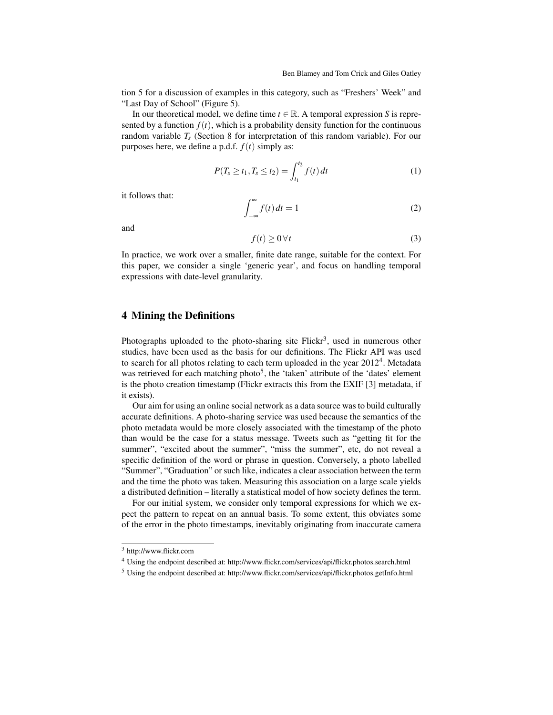tion 5 for a discussion of examples in this category, such as "Freshers' Week" and "Last Day of School" (Figure 5).

In our theoretical model, we define time  $t \in \mathbb{R}$ . A temporal expression *S* is represented by a function  $f(t)$ , which is a probability density function for the continuous random variable  $T_s$  (Section 8 for interpretation of this random variable). For our purposes here, we define a p.d.f.  $f(t)$  simply as:

$$
P(T_s \ge t_1, T_s \le t_2) = \int_{t_1}^{t_2} f(t) dt
$$
 (1)

it follows that:

$$
\int_{-\infty}^{\infty} f(t) dt = 1
$$
 (2)

and

$$
f(t) \ge 0 \,\forall t \tag{3}
$$

In practice, we work over a smaller, finite date range, suitable for the context. For this paper, we consider a single 'generic year', and focus on handling temporal expressions with date-level granularity.

#### 4 Mining the Definitions

Photographs uploaded to the photo-sharing site  $Flickr<sup>3</sup>$ , used in numerous other studies, have been used as the basis for our definitions. The Flickr API was used to search for all photos relating to each term uploaded in the year 2012<sup>4</sup>. Metadata was retrieved for each matching photo<sup>5</sup>, the 'taken' attribute of the 'dates' element is the photo creation timestamp (Flickr extracts this from the EXIF [3] metadata, if it exists).

Our aim for using an online social network as a data source was to build culturally accurate definitions. A photo-sharing service was used because the semantics of the photo metadata would be more closely associated with the timestamp of the photo than would be the case for a status message. Tweets such as "getting fit for the summer", "excited about the summer", "miss the summer", etc, do not reveal a specific definition of the word or phrase in question. Conversely, a photo labelled "Summer", "Graduation" or such like, indicates a clear association between the term and the time the photo was taken. Measuring this association on a large scale yields a distributed definition – literally a statistical model of how society defines the term.

For our initial system, we consider only temporal expressions for which we expect the pattern to repeat on an annual basis. To some extent, this obviates some of the error in the photo timestamps, inevitably originating from inaccurate camera

<sup>3</sup> http://www.flickr.com

<sup>4</sup> Using the endpoint described at: http://www.flickr.com/services/api/flickr.photos.search.html

<sup>5</sup> Using the endpoint described at: http://www.flickr.com/services/api/flickr.photos.getInfo.html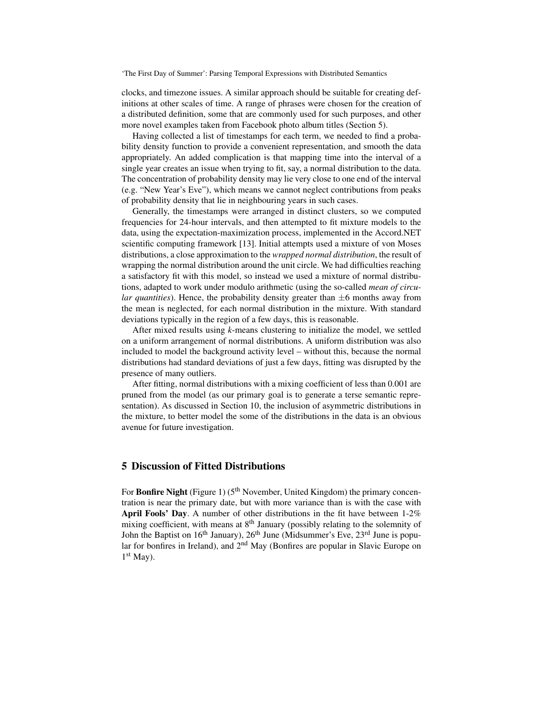clocks, and timezone issues. A similar approach should be suitable for creating definitions at other scales of time. A range of phrases were chosen for the creation of a distributed definition, some that are commonly used for such purposes, and other more novel examples taken from Facebook photo album titles (Section 5).

Having collected a list of timestamps for each term, we needed to find a probability density function to provide a convenient representation, and smooth the data appropriately. An added complication is that mapping time into the interval of a single year creates an issue when trying to fit, say, a normal distribution to the data. The concentration of probability density may lie very close to one end of the interval (e.g. "New Year's Eve"), which means we cannot neglect contributions from peaks of probability density that lie in neighbouring years in such cases.

Generally, the timestamps were arranged in distinct clusters, so we computed frequencies for 24-hour intervals, and then attempted to fit mixture models to the data, using the expectation-maximization process, implemented in the Accord.NET scientific computing framework [13]. Initial attempts used a mixture of von Moses distributions, a close approximation to the *wrapped normal distribution*, the result of wrapping the normal distribution around the unit circle. We had difficulties reaching a satisfactory fit with this model, so instead we used a mixture of normal distributions, adapted to work under modulo arithmetic (using the so-called *mean of circular quantities*). Hence, the probability density greater than  $\pm 6$  months away from the mean is neglected, for each normal distribution in the mixture. With standard deviations typically in the region of a few days, this is reasonable.

After mixed results using *k*-means clustering to initialize the model, we settled on a uniform arrangement of normal distributions. A uniform distribution was also included to model the background activity level – without this, because the normal distributions had standard deviations of just a few days, fitting was disrupted by the presence of many outliers.

After fitting, normal distributions with a mixing coefficient of less than 0.001 are pruned from the model (as our primary goal is to generate a terse semantic representation). As discussed in Section 10, the inclusion of asymmetric distributions in the mixture, to better model the some of the distributions in the data is an obvious avenue for future investigation.

# 5 Discussion of Fitted Distributions

For Bonfire Night (Figure 1) (5<sup>th</sup> November, United Kingdom) the primary concentration is near the primary date, but with more variance than is with the case with April Fools' Day. A number of other distributions in the fit have between 1-2% mixing coefficient, with means at 8<sup>th</sup> January (possibly relating to the solemnity of John the Baptist on  $16<sup>th</sup>$  January),  $26<sup>th</sup>$  June (Midsummer's Eve,  $23<sup>rd</sup>$  June is popular for bonfires in Ireland), and 2<sup>nd</sup> May (Bonfires are popular in Slavic Europe on 1<sup>st</sup> May).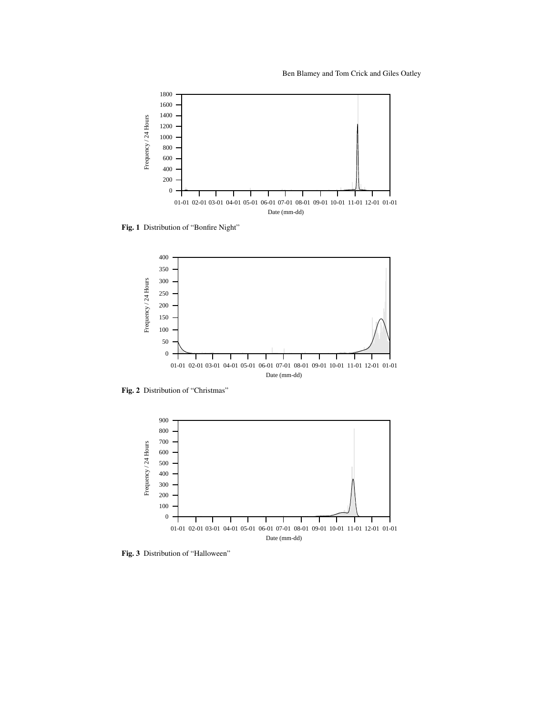Ben Blamey and Tom Crick and Giles Oatley



Fig. 1 Distribution of "Bonfire Night"



Fig. 2 Distribution of "Christmas"



Fig. 3 Distribution of "Halloween"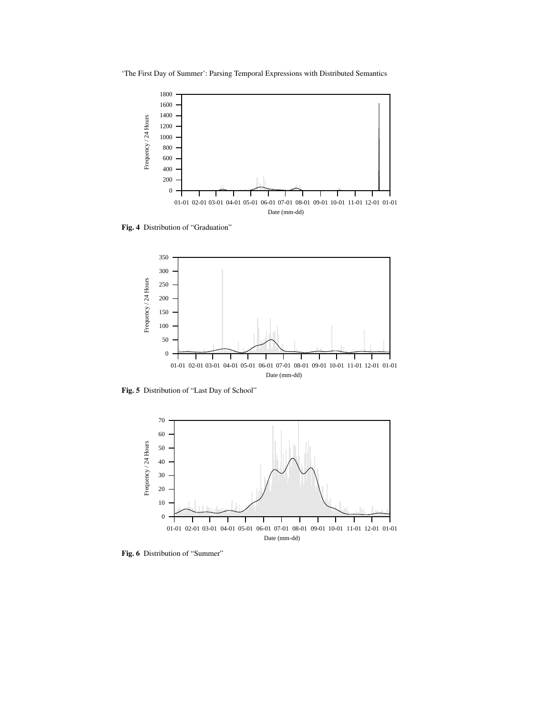'The First Day of Summer': Parsing Temporal Expressions with Distributed Semantics



Fig. 4 Distribution of "Graduation"



Fig. 5 Distribution of "Last Day of School"



Fig. 6 Distribution of "Summer"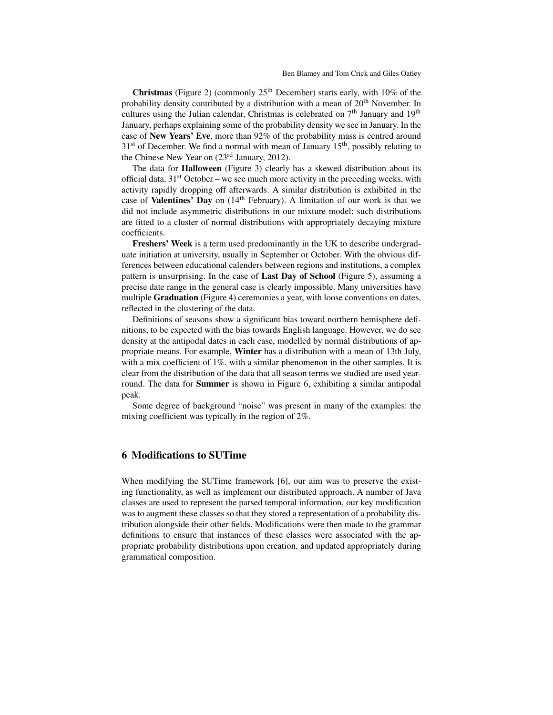Ben Blamey and Tom Crick and Giles Oatley

**Christmas** (Figure 2) (commonly  $25<sup>th</sup>$  December) starts early, with  $10\%$  of the probability density contributed by a distribution with a mean of 20<sup>th</sup> November. In cultures using the Julian calendar, Christmas is celebrated on  $7<sup>th</sup>$  January and  $19<sup>th</sup>$ January, perhaps explaining some of the probability density we see in January. In the case of New Years' Eve, more than 92% of the probability mass is centred around  $31<sup>st</sup>$  of December. We find a normal with mean of January  $15<sup>th</sup>$ , possibly relating to the Chinese New Year on (23<sup>rd</sup> January, 2012).

The data for Halloween (Figure 3) clearly has a skewed distribution about its official data,  $31<sup>st</sup>$  October – we see much more activity in the preceding weeks, with activity rapidly dropping off afterwards. A similar distribution is exhibited in the case of **Valentines' Day** on  $(14<sup>th</sup>$  February). A limitation of our work is that we did not include asymmetric distributions in our mixture model; such distributions are fitted to a cluster of normal distributions with appropriately decaying mixture coefficients.

Freshers' Week is a term used predominantly in the UK to describe undergraduate initiation at university, usually in September or October. With the obvious differences between educational calenders between regions and institutions, a complex pattern is unsurprising. In the case of Last Day of School (Figure 5), assuming a precise date range in the general case is clearly impossible. Many universities have multiple Graduation (Figure 4) ceremonies a year, with loose conventions on dates, reflected in the clustering of the data.

Definitions of seasons show a significant bias toward northern hemisphere definitions, to be expected with the bias towards English language. However, we do see density at the antipodal dates in each case, modelled by normal distributions of appropriate means. For example, Winter has a distribution with a mean of 13th July, with a mix coefficient of 1%, with a similar phenomenon in the other samples. It is clear from the distribution of the data that all season terms we studied are used yearround. The data for **Summer** is shown in Figure 6, exhibiting a similar antipodal peak.

Some degree of background "noise" was present in many of the examples: the mixing coefficient was typically in the region of 2%.

#### 6 Modifications to SUTime

When modifying the SUTime framework [6], our aim was to preserve the existing functionality, as well as implement our distributed approach. A number of Java classes are used to represent the parsed temporal information, our key modification was to augment these classes so that they stored a representation of a probability distribution alongside their other fields. Modifications were then made to the grammar definitions to ensure that instances of these classes were associated with the appropriate probability distributions upon creation, and updated appropriately during grammatical composition.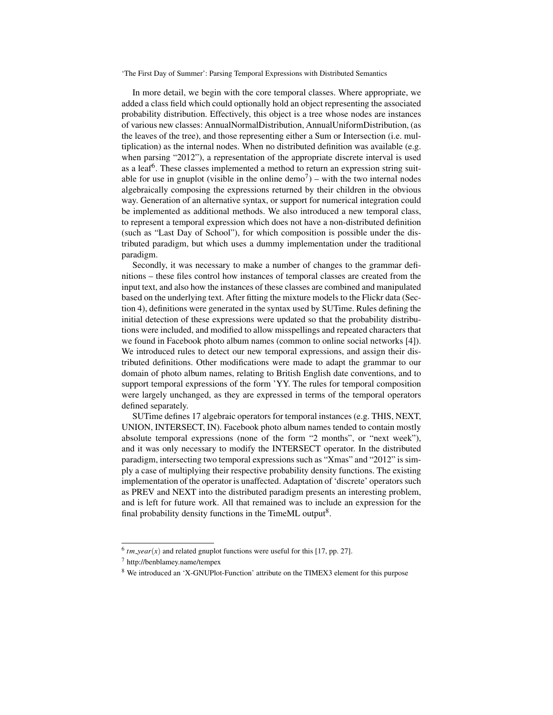In more detail, we begin with the core temporal classes. Where appropriate, we added a class field which could optionally hold an object representing the associated probability distribution. Effectively, this object is a tree whose nodes are instances of various new classes: AnnualNormalDistribution, AnnualUniformDistribution, (as the leaves of the tree), and those representing either a Sum or Intersection (i.e. multiplication) as the internal nodes. When no distributed definition was available (e.g. when parsing "2012"), a representation of the appropriate discrete interval is used as a leaf<sup>6</sup>. These classes implemented a method to return an expression string suitable for use in gnuplot (visible in the online  $demo<sup>7</sup>$ ) – with the two internal nodes algebraically composing the expressions returned by their children in the obvious way. Generation of an alternative syntax, or support for numerical integration could be implemented as additional methods. We also introduced a new temporal class, to represent a temporal expression which does not have a non-distributed definition (such as "Last Day of School"), for which composition is possible under the distributed paradigm, but which uses a dummy implementation under the traditional paradigm.

Secondly, it was necessary to make a number of changes to the grammar definitions – these files control how instances of temporal classes are created from the input text, and also how the instances of these classes are combined and manipulated based on the underlying text. After fitting the mixture models to the Flickr data (Section 4), definitions were generated in the syntax used by SUTime. Rules defining the initial detection of these expressions were updated so that the probability distributions were included, and modified to allow misspellings and repeated characters that we found in Facebook photo album names (common to online social networks [4]). We introduced rules to detect our new temporal expressions, and assign their distributed definitions. Other modifications were made to adapt the grammar to our domain of photo album names, relating to British English date conventions, and to support temporal expressions of the form 'YY. The rules for temporal composition were largely unchanged, as they are expressed in terms of the temporal operators defined separately.

SUTime defines 17 algebraic operators for temporal instances (e.g. THIS, NEXT, UNION, INTERSECT, IN). Facebook photo album names tended to contain mostly absolute temporal expressions (none of the form "2 months", or "next week"), and it was only necessary to modify the INTERSECT operator. In the distributed paradigm, intersecting two temporal expressions such as "Xmas" and "2012" is simply a case of multiplying their respective probability density functions. The existing implementation of the operator is unaffected. Adaptation of 'discrete' operators such as PREV and NEXT into the distributed paradigm presents an interesting problem, and is left for future work. All that remained was to include an expression for the final probability density functions in the TimeML output<sup>8</sup>.

 $^6$  *tm* \_year(x) and related gnuplot functions were useful for this [17, pp. 27].

<sup>7</sup> http://benblamey.name/tempex

<sup>8</sup> We introduced an 'X-GNUPlot-Function' attribute on the TIMEX3 element for this purpose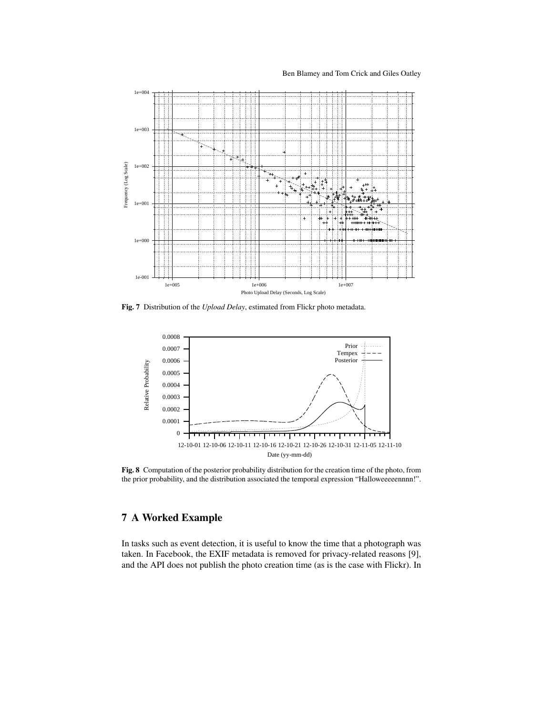Ben Blamey and Tom Crick and Giles Oatley



Fig. 7 Distribution of the *Upload Delay*, estimated from Flickr photo metadata.



Fig. 8 Computation of the posterior probability distribution for the creation time of the photo, from the prior probability, and the distribution associated the temporal expression "Halloweeeeennnn!".

# 7 A Worked Example

In tasks such as event detection, it is useful to know the time that a photograph was taken. In Facebook, the EXIF metadata is removed for privacy-related reasons [9], and the API does not publish the photo creation time (as is the case with Flickr). In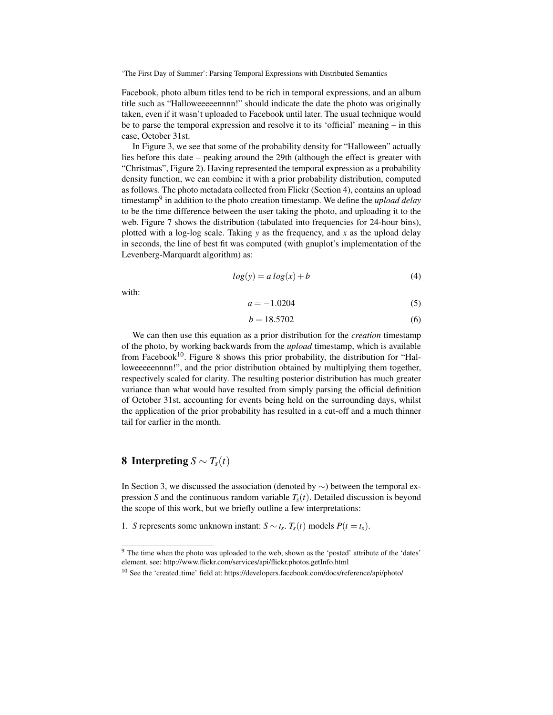Facebook, photo album titles tend to be rich in temporal expressions, and an album title such as "Halloweeeeennnn!" should indicate the date the photo was originally taken, even if it wasn't uploaded to Facebook until later. The usual technique would be to parse the temporal expression and resolve it to its 'official' meaning – in this case, October 31st.

In Figure 3, we see that some of the probability density for "Halloween" actually lies before this date – peaking around the 29th (although the effect is greater with "Christmas", Figure 2). Having represented the temporal expression as a probability density function, we can combine it with a prior probability distribution, computed as follows. The photo metadata collected from Flickr (Section 4), contains an upload timestamp<sup>9</sup> in addition to the photo creation timestamp. We define the *upload delay* to be the time difference between the user taking the photo, and uploading it to the web. Figure 7 shows the distribution (tabulated into frequencies for 24-hour bins), plotted with a log-log scale. Taking *y* as the frequency, and *x* as the upload delay in seconds, the line of best fit was computed (with gnuplot's implementation of the Levenberg-Marquardt algorithm) as:

$$
log(y) = a log(x) + b \tag{4}
$$

with:

$$
a = -1.0204
$$
 (5)

$$
b = 18.5702 \tag{6}
$$

We can then use this equation as a prior distribution for the *creation* timestamp of the photo, by working backwards from the *upload* timestamp, which is available from Facebook<sup>10</sup>. Figure 8 shows this prior probability, the distribution for "Halloweeeeennnn!", and the prior distribution obtained by multiplying them together, respectively scaled for clarity. The resulting posterior distribution has much greater variance than what would have resulted from simply parsing the official definition of October 31st, accounting for events being held on the surrounding days, whilst the application of the prior probability has resulted in a cut-off and a much thinner tail for earlier in the month.

# 8 Interpreting  $S \sim T_s(t)$

In Section 3, we discussed the association (denoted by ∼) between the temporal expression *S* and the continuous random variable  $T_s(t)$ . Detailed discussion is beyond the scope of this work, but we briefly outline a few interpretations:

1. *S* represents some unknown instant: *S* ∼ *t<sub>s</sub>*. *T<sub>s</sub>*(*t*) models *P*(*t* = *t<sub>s</sub>*).

<sup>&</sup>lt;sup>9</sup> The time when the photo was uploaded to the web, shown as the 'posted' attribute of the 'dates' element, see: http://www.flickr.com/services/api/flickr.photos.getInfo.html

 $10$  See the 'created\_time' field at: https://developers.facebook.com/docs/reference/api/photo/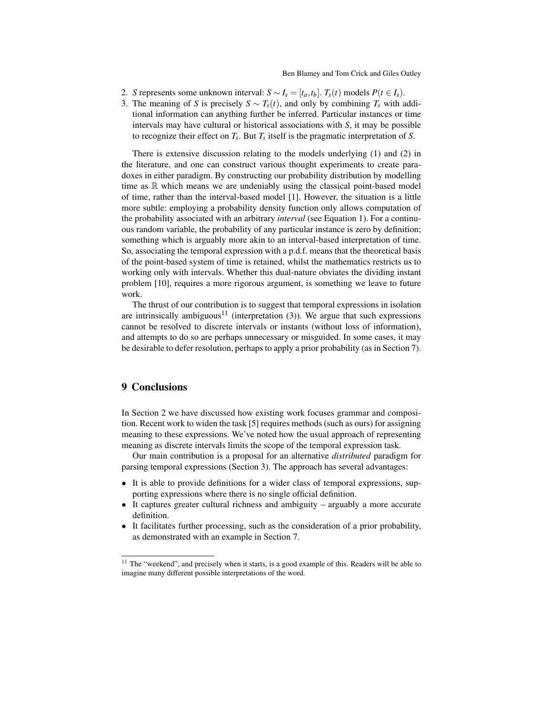#### Ben Blamey and Tom Crick and Giles Oatley

- 2. *S* represents some unknown interval:  $S \sim I_s = [t_a, t_b]$ .  $T_s(t)$  models  $P(t \in I_s)$ .
- 3. The meaning of *S* is precisely  $S \sim T_s(t)$ , and only by combining  $T_s$  with additional information can anything further be inferred. Particular instances or time intervals may have cultural or historical associations with *S*, it may be possible to recognize their effect on  $T_s$ . But  $T_s$  itself is the pragmatic interpretation of *S*.

There is extensive discussion relating to the models underlying (1) and (2) in the literature, and one can construct various thought experiments to create paradoxes in either paradigm. By constructing our probability distribution by modelling time as  $\mathbb R$  which means we are undeniably using the classical point-based model of time, rather than the interval-based model [1]. However, the situation is a little more subtle: employing a probability density function only allows computation of the probability associated with an arbitrary *interval* (see Equation 1). For a continuous random variable, the probability of any particular instance is zero by definition; something which is arguably more akin to an interval-based interpretation of time. So, associating the temporal expression with a p.d.f. means that the theoretical basis of the point-based system of time is retained, whilst the mathematics restricts us to working only with intervals. Whether this dual-nature obviates the dividing instant problem [10], requires a more rigorous argument, is something we leave to future work.

The thrust of our contribution is to suggest that temporal expressions in isolation are intrinsically ambiguous<sup>11</sup> (interpretation  $(3)$ ). We argue that such expressions cannot be resolved to discrete intervals or instants (without loss of information), and attempts to do so are perhaps unnecessary or misguided. In some cases, it may be desirable to defer resolution, perhaps to apply a prior probability (as in Section 7).

# 9 Conclusions

In Section 2 we have discussed how existing work focuses grammar and composition. Recent work to widen the task [5] requires methods (such as ours) for assigning meaning to these expressions. We've noted how the usual approach of representing meaning as discrete intervals limits the scope of the temporal expression task.

Our main contribution is a proposal for an alternative *distributed* paradigm for parsing temporal expressions (Section 3). The approach has several advantages:

- It is able to provide definitions for a wider class of temporal expressions, supporting expressions where there is no single official definition.
- It captures greater cultural richness and ambiguity arguably a more accurate definition.
- It facilitates further processing, such as the consideration of a prior probability, as demonstrated with an example in Section 7.

<sup>&</sup>lt;sup>11</sup> The "weekend", and precisely when it starts, is a good example of this. Readers will be able to imagine many different possible interpretations of the word.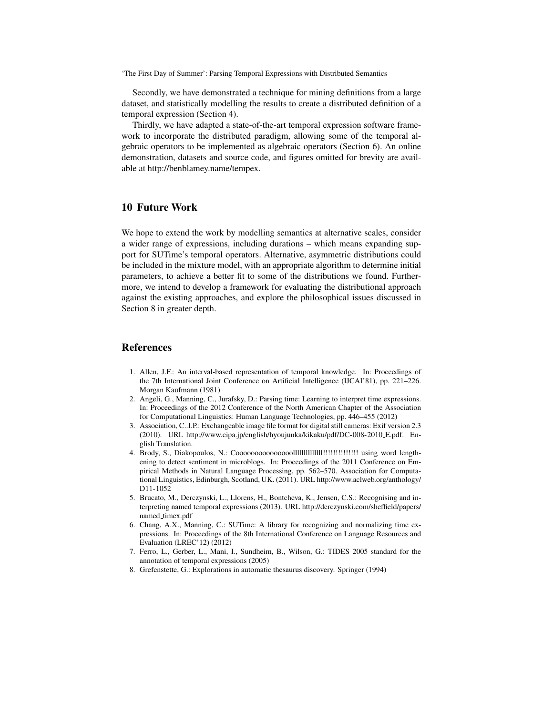Secondly, we have demonstrated a technique for mining definitions from a large dataset, and statistically modelling the results to create a distributed definition of a temporal expression (Section 4).

Thirdly, we have adapted a state-of-the-art temporal expression software framework to incorporate the distributed paradigm, allowing some of the temporal algebraic operators to be implemented as algebraic operators (Section 6). An online demonstration, datasets and source code, and figures omitted for brevity are available at http://benblamey.name/tempex.

# 10 Future Work

We hope to extend the work by modelling semantics at alternative scales, consider a wider range of expressions, including durations – which means expanding support for SUTime's temporal operators. Alternative, asymmetric distributions could be included in the mixture model, with an appropriate algorithm to determine initial parameters, to achieve a better fit to some of the distributions we found. Furthermore, we intend to develop a framework for evaluating the distributional approach against the existing approaches, and explore the philosophical issues discussed in Section 8 in greater depth.

## References

- 1. Allen, J.F.: An interval-based representation of temporal knowledge. In: Proceedings of the 7th International Joint Conference on Artificial Intelligence (IJCAI'81), pp. 221–226. Morgan Kaufmann (1981)
- 2. Angeli, G., Manning, C., Jurafsky, D.: Parsing time: Learning to interpret time expressions. In: Proceedings of the 2012 Conference of the North American Chapter of the Association for Computational Linguistics: Human Language Technologies, pp. 446–455 (2012)
- 3. Association, C..I.P.: Exchangeable image file format for digital still cameras: Exif version 2.3 (2010). URL http://www.cipa.jp/english/hyoujunka/kikaku/pdf/DC-008-2010 E.pdf. English Translation.
- 4. Brody, S., Diakopoulos, N.: Cooooooooooooooollllllllllllll!!!!!!!!!!!!!! using word lengthening to detect sentiment in microblogs. In: Proceedings of the 2011 Conference on Empirical Methods in Natural Language Processing, pp. 562–570. Association for Computational Linguistics, Edinburgh, Scotland, UK. (2011). URL http://www.aclweb.org/anthology/ D11-1052
- 5. Brucato, M., Derczynski, L., Llorens, H., Bontcheva, K., Jensen, C.S.: Recognising and interpreting named temporal expressions (2013). URL http://derczynski.com/sheffield/papers/ named timex.pdf
- 6. Chang, A.X., Manning, C.: SUTime: A library for recognizing and normalizing time expressions. In: Proceedings of the 8th International Conference on Language Resources and Evaluation (LREC'12) (2012)
- 7. Ferro, L., Gerber, L., Mani, I., Sundheim, B., Wilson, G.: TIDES 2005 standard for the annotation of temporal expressions (2005)
- 8. Grefenstette, G.: Explorations in automatic thesaurus discovery. Springer (1994)